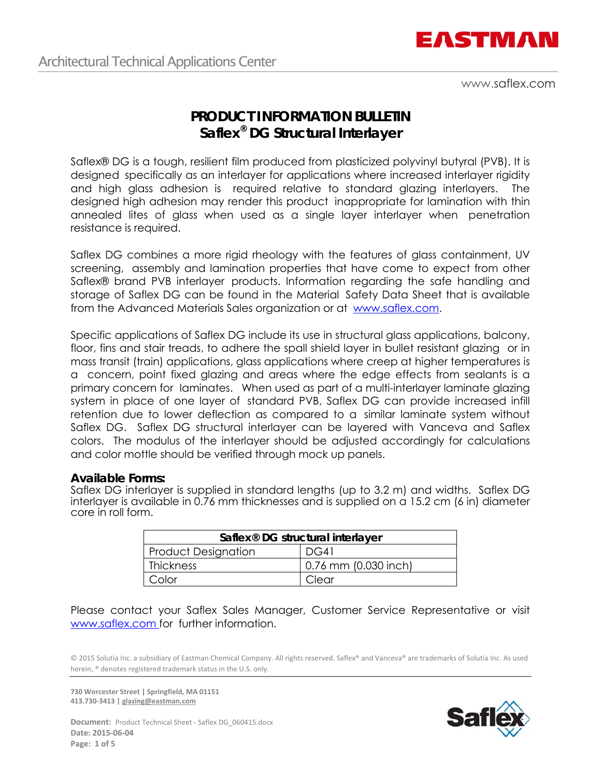

www.saflex.com

# **PRODUCT I NFORMATION BULLETIN Saflex® DG Structural Interlayer**

Saflex® DG is a tough, resilient film produced from plasticized polyvinyl butyral (PVB). It is designed specifically as an interlayer for applications where increased interlayer rigidity and high glass adhesion is required relative to standard glazing interlayers. The designed high adhesion may render this product inappropriate for lamination with thin annealed lites of glass when used as a single layer interlayer when penetration resistance is required.

Saflex DG combines a more rigid rheology with the features of glass containment, UV screening, assembly and lamination properties that have come to expect from other Saflex® brand PVB interlayer products. Information regarding the safe handling and storage of Saflex DG can be found in the Material Safety Data Sheet that is available from the Advanced Materials Sales organization or at www.saflex.com.

Specific applications of Saflex DG include its use in structural glass applications, balcony, floor, fins and stair treads, to adhere the spall shield layer in bullet resistant glazing or in mass transit (train) applications, glass applications where creep at higher temperatures is a concern, point fixed glazing and areas where the edge effects from sealants is a primary concern for laminates. When used as part of a multi-interlayer laminate glazing system in place of one layer of standard PVB, Saflex DG can provide increased infill retention due to lower deflection as compared to a similar laminate system without Saflex DG. Saflex DG structural interlayer can be layered with Vanceva and Saflex colors. The modulus of the interlayer should be adjusted accordingly for calculations and color mottle should be verified through mock up panels.

### **Available Forms:**

Saflex DG interlayer is supplied in standard lengths (up to 3.2 m) and widths. Saflex DG interlayer is available in 0.76 mm thicknesses and is supplied on a 15.2 cm (6 in) diameter core in roll form.

| Saflex <sup>®</sup> DG structural interlayer |                      |  |  |  |  |  |
|----------------------------------------------|----------------------|--|--|--|--|--|
| <b>Product Designation</b>                   | DG41                 |  |  |  |  |  |
| Thickness                                    | 0.76 mm (0.030 inch) |  |  |  |  |  |
| Color                                        | Clear                |  |  |  |  |  |

Please contact your Saflex Sales Manager, Customer Service Representative or visit www.saflex.com for further information.

© 2015 Solutia Inc. a subsidiary of Eastman Chemical Company. All rights reserved. Saflex® and Vanceva® are trademarks of Solutia Inc. As used herein, ® denotes registered trademark status in the U.S. only.

**730 Worcester Street | Springfield, MA 01151 413.730‐3413 | glazing@eastman.com** 



Document: Product Technical Sheet - Saflex DG\_060415.docx **Date: 2015‐06‐04 Page: 1 of 5**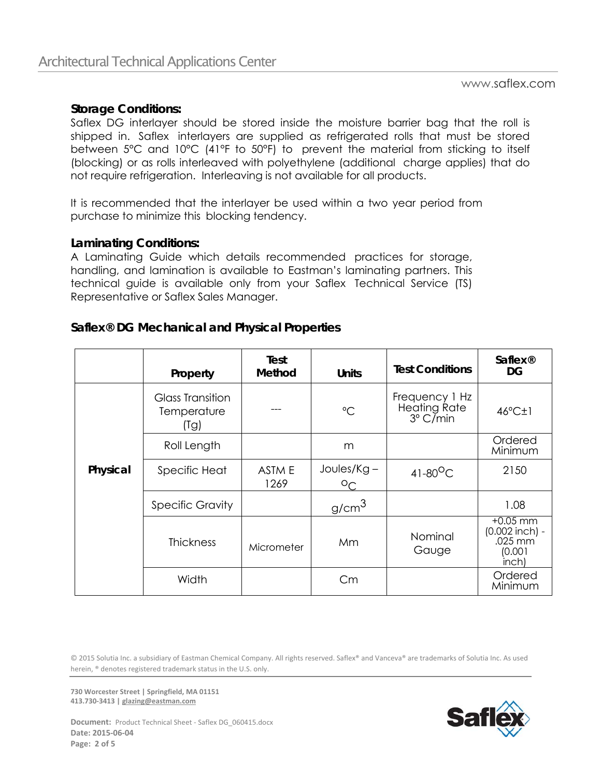## **Storage Conditions:**

Saflex DG interlayer should be stored inside the moisture barrier bag that the roll is shipped in. Saflex interlayers are supplied as refrigerated rolls that must be stored between 5°C and 10°C (41°F to 50°F) to prevent the material from sticking to itself (blocking) or as rolls interleaved with polyethylene (additional charge applies) that do not require refrigeration. Interleaving is not available for all products.

It is recommended that the interlayer be used within a two year period from purchase to minimize this blocking tendency.

## **Laminating Conditions:**

A Laminating Guide which details recommended practices for storage, handling, and lamination is available to Eastman's laminating partners. This technical guide is available only from your Saflex Technical Service (TS) Representative or Saflex Sales Manager.

# **Saflex® DG Mechanical and Physical Properties**

|          | Property                                       | Test<br>Method | <b>Units</b>                  | <b>Test Conditions</b>                                     | <b>Saflex®</b><br>DG                                          |
|----------|------------------------------------------------|----------------|-------------------------------|------------------------------------------------------------|---------------------------------------------------------------|
| Physical | <b>Glass Transition</b><br>Temperature<br>(Tg) |                | $^{\circ}C$                   | Frequency 1 Hz<br><b>Heating Rate</b><br>$3^{\circ}$ C/min | $46^{\circ}$ C $\pm$ 1                                        |
|          | Roll Length                                    |                | m                             |                                                            | Ordered<br>Minimum                                            |
|          | Specific Heat                                  | ASTM E<br>1269 | $Joules/Kg -$<br>$O_{\Gamma}$ | $41-80^{\circ}$ C                                          | 2150                                                          |
|          | <b>Specific Gravity</b>                        |                | g/cm <sup>3</sup>             |                                                            | 1.08                                                          |
|          | <b>Thickness</b>                               | Micrometer     | Mm                            | Nominal<br>Gauge                                           | $+0.05$ mm<br>$(0.002$ inch) -<br>.025 mm<br>(0.001)<br>inch) |
|          | Width                                          |                | Cm                            |                                                            | Ordered<br>Minimum                                            |

© 2015 Solutia Inc. a subsidiary of Eastman Chemical Company. All rights reserved. Saflex® and Vanceva® are trademarks of Solutia Inc. As used herein, ® denotes registered trademark status in the U.S. only.

**730 Worcester Street | Springfield, MA 01151 413.730‐3413 | glazing@eastman.com** 



Document: Product Technical Sheet - Saflex DG\_060415.docx **Date: 2015‐06‐04 Page: 2 of 5**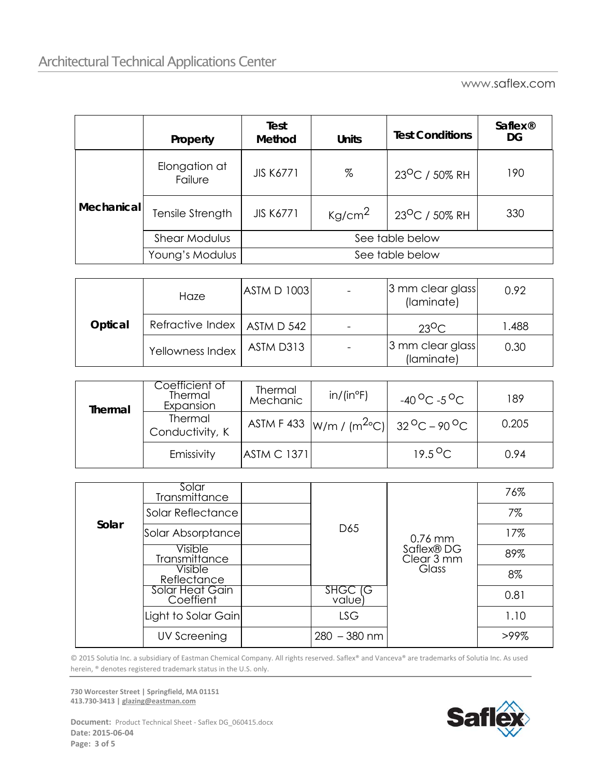www.saflex.com

|            | Property                 | Test<br><b>Method</b> | <b>Units</b>       | <b>Test Conditions</b>     | <b>Saflex<sup>®</sup></b><br>DG |  |  |
|------------|--------------------------|-----------------------|--------------------|----------------------------|---------------------------------|--|--|
| Mechanical | Elongation at<br>Failure | <b>JIS K6771</b>      | %                  | 23 <sup>O</sup> C / 50% RH | 190                             |  |  |
|            | Tensile Strength         | <b>JIS K6771</b>      | Kg/cm <sup>2</sup> | 23 <sup>O</sup> C / 50% RH | 330                             |  |  |
|            | <b>Shear Modulus</b>     | See table below       |                    |                            |                                 |  |  |
|            | Young's Modulus          | See table below       |                    |                            |                                 |  |  |

| Optical | Haze                          | <b>ASTM D 1003</b> | 3 mm clear glass<br>(laminate) | 0.92   |
|---------|-------------------------------|--------------------|--------------------------------|--------|
|         | Refractive Index   ASTM D 542 |                    | $23^{\circ}$ C                 | 488. ا |
|         | Yellowness Index              | ASTM D313          | 3 mm clear glass<br>(laminate) | 0.30   |

| Thermal | Coefficient of<br>Thermal<br>Expansion | Thermal<br>Mechanic | $in/$ (in <sup>o</sup> F) | $-40\,^{\circ}$ C $-5\,^{\circ}$ C           | 189   |
|---------|----------------------------------------|---------------------|---------------------------|----------------------------------------------|-------|
|         | Thermal<br>Conductivity, K             |                     |                           | ASTM F 433 $ W/m / (m^{2}°C) $ 32 °C – 90 °C | 0.205 |
|         | Emissivity                             | <b>ASTM C 1371</b>  |                           | $19.5^{\circ}$ C                             | 0.94  |

| Solar | Solar<br>Transmittance       |                   |                                       | 76%  |
|-------|------------------------------|-------------------|---------------------------------------|------|
|       | Solar Reflectance            |                   |                                       | 7%   |
|       | Solar Absorptance            | D <sub>65</sub>   | $0.76$ mm<br>Saflex® DG<br>Clear 3 mm | 17%  |
|       | Visible<br>Transmittance     |                   |                                       | 89%  |
|       | Visible<br>Reflectance       |                   | Glass                                 | 8%   |
|       | Solar Heat Gain<br>Coeffient | SHGC IG<br>value) |                                       | 0.81 |
|       | Light to Solar Gain          | <b>LSG</b>        |                                       | 1.10 |
|       | UV Screening                 | $280 - 380$ nm    |                                       | >99% |

© 2015 Solutia Inc. a subsidiary of Eastman Chemical Company. All rights reserved. Saflex® and Vanceva® are trademarks of Solutia Inc. As used herein, ® denotes registered trademark status in the U.S. only.

**730 Worcester Street | Springfield, MA 01151 413.730‐3413 | glazing@eastman.com** 



**Document:** Product Technical Sheet - Saflex DG\_060415.docx **Date: 2015‐06‐04 Page: 3 of 5**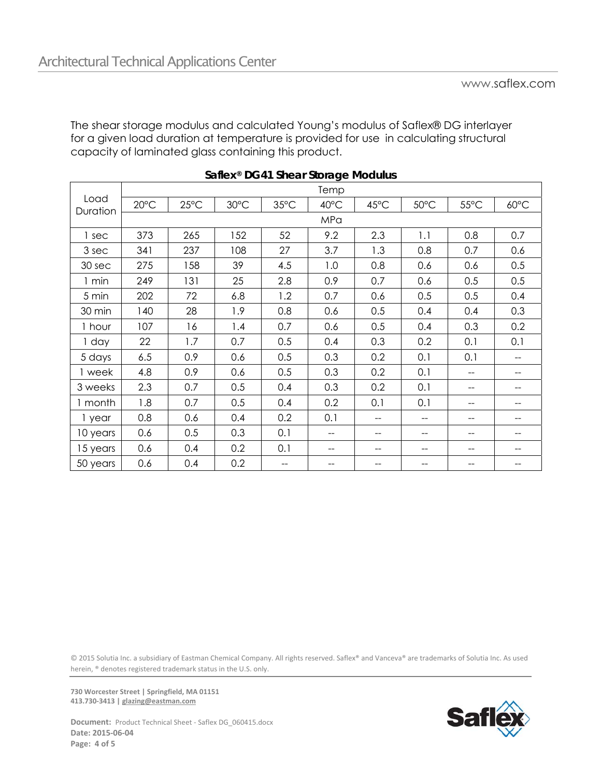The shear storage modulus and calculated Young's modulus of Saflex® DG interlayer for a given load duration at temperature is provided for use in calculating structural capacity of laminated glass containing this product.

|                  |                |                |      |                | Temp |      |      |                |      |
|------------------|----------------|----------------|------|----------------|------|------|------|----------------|------|
| Load<br>Duration | $20^{\circ}$ C | $25^{\circ}$ C | 30°C | $35^{\circ}$ C | 40°C | 45°C | 50°C | $55^{\circ}$ C | 60°C |
|                  |                |                |      |                | MPa  |      |      |                |      |
| 1 sec            | 373            | 265            | 152  | 52             | 9.2  | 2.3  | 1.1  | 0.8            | 0.7  |
| 3 sec            | 341            | 237            | 108  | 27             | 3.7  | 1.3  | 0.8  | 0.7            | 0.6  |
| 30 sec           | 275            | 158            | 39   | 4.5            | 1.0  | 0.8  | 0.6  | 0.6            | 0.5  |
| 1 min            | 249            | 131            | 25   | 2.8            | 0.9  | 0.7  | 0.6  | 0.5            | 0.5  |
| 5 min            | 202            | 72             | 6.8  | 1.2            | 0.7  | 0.6  | 0.5  | 0.5            | 0.4  |
| 30 min           | 140            | 28             | 1.9  | 0.8            | 0.6  | 0.5  | 0.4  | 0.4            | 0.3  |
| 1 hour           | 107            | 16             | 1.4  | 0.7            | 0.6  | 0.5  | 0.4  | 0.3            | 0.2  |
| 1 day            | 22             | 1.7            | 0.7  | 0.5            | 0.4  | 0.3  | 0.2  | 0.1            | 0.1  |
| 5 days           | 6.5            | 0.9            | 0.6  | 0.5            | 0.3  | 0.2  | 0.1  | 0.1            |      |
| 1 week           | 4.8            | 0.9            | 0.6  | 0.5            | 0.3  | 0.2  | 0.1  | --             |      |
| 3 weeks          | 2.3            | 0.7            | 0.5  | 0.4            | 0.3  | 0.2  | 0.1  | --             |      |
| 1 month          | 1.8            | 0.7            | 0.5  | 0.4            | 0.2  | 0.1  | 0.1  | --             |      |
| 1 year           | 0.8            | 0.6            | 0.4  | 0.2            | 0.1  | --   | --   | --             |      |
| 10 years         | 0.6            | 0.5            | 0.3  | 0.1            | $-$  | --   | --   | $-$            |      |
| 15 years         | 0.6            | 0.4            | 0.2  | 0.1            | --   | --   | --   | --             | --   |
| 50 years         | 0.6            | 0.4            | 0.2  | --             | --   |      |      |                |      |

© 2015 Solutia Inc. a subsidiary of Eastman Chemical Company. All rights reserved. Saflex® and Vanceva® are trademarks of Solutia Inc. As used herein, ® denotes registered trademark status in the U.S. only.

**730 Worcester Street | Springfield, MA 01151 413.730‐3413 | glazing@eastman.com** 



**Document:** Product Technical Sheet - Saflex DG\_060415.docx **Date: 2015‐06‐04 Page: 4 of 5**